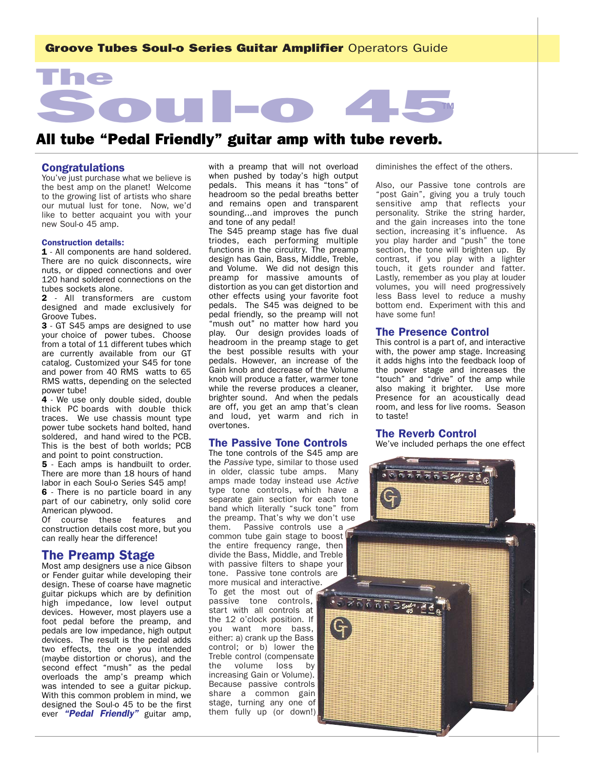# Groove Tubes Soul-o Series Guitar Amplifier Operators Guide TM All tube "Pedal Friendly" guitar amp with tube reverb.

# Congratulations

The

You've just purchase what we believe is the best amp on the planet! Welcome to the growing list of artists who share our mutual lust for tone. Now, we'd like to better acquaint you with your new Soul-o 45 amp.

### Construction details:

1 - All components are hand soldered. There are no quick disconnects, wire nuts, or dipped connections and over 120 hand soldered connections on the tubes sockets alone.

2 - All transformers are custom designed and made exclusively for Groove Tubes.

3 - GT S45 amps are designed to use your choice of power tubes. Choose from a total of 11 different tubes which are currently available from our GT catalog. Customized your S45 for tone and power from 40 RMS watts to 65 RMS watts, depending on the selected power tube!

4 - We use only double sided, double thick PC boards with double thick traces. We use chassis mount type power tube sockets hand bolted, hand soldered, and hand wired to the PCB. This is the best of both worlds; PCB and point to point construction.

5 - Each amps is handbuilt to order. There are more than 18 hours of hand labor in each Soul-o Series S45 amp!

6 - There is no particle board in any part of our cabinetry, only solid core American plywood.

Of course these features and construction details cost more, but you can really hear the difference!

# The Preamp Stage

Most amp designers use a nice Gibson or Fender guitar while developing their design. These of coarse have magnetic guitar pickups which are by definition high impedance, low level output devices. However, most players use a foot pedal before the preamp, and pedals are low impedance, high output devices. The result is the pedal adds two effects, the one you intended (maybe distortion or chorus), and the second effect "mush" as the pedal overloads the amp's preamp which was intended to see a guitar pickup. With this common problem in mind, we designed the Soul-o 45 to be the first ever *"Pedal Friendly"* guitar amp,

with a preamp that will not overload when pushed by today's high output pedals. This means it has "tons" of headroom so the pedal breaths better and remains open and transparent sounding...and improves the punch and tone of any pedal!

The S45 preamp stage has five dual triodes, each performing multiple functions in the circuitry. The preamp design has Gain, Bass, Middle, Treble, and Volume. We did not design this preamp for massive amounts of distortion as you can get distortion and other effects using your favorite foot pedals. The S45 was deigned to be pedal friendly, so the preamp will not "mush out" no matter how hard you play. Our design provides loads of headroom in the preamp stage to get the best possible results with your pedals. However, an increase of the Gain knob and decrease of the Volume knob will produce a fatter, warmer tone while the reverse produces a cleaner, brighter sound. And when the pedals are off, you get an amp that's clean and loud, yet warm and rich in overtones.

### The Passive Tone Controls

The tone controls of the S45 amp are the *Passive* type, similar to those used in older, classic tube amps. Many amps made today instead use *Active* type tone controls, which have a separate gain section for each tone band which literally "suck tone" from the preamp. That's why we don't use them. Passive controls use a common tube gain stage to boost the entire frequency range, then divide the Bass, Middle, and Treble with passive filters to shape your tone. Passive tone controls are more musical and interactive. To get the most out of passive tone controls, start with all controls at the 12 o'clock position. If you want more bass, either: a) crank up the Bass control; or b) lower the Treble control (compensate the volume loss by increasing Gain or Volume). Because passive controls share a common gain stage, turning any one of them fully up (or down!)

diminishes the effect of the others.

Also, our Passive tone controls are "post Gain", giving you a truly touch sensitive amp that reflects your personality. Strike the string harder, and the gain increases into the tone section, increasing it's influence. As you play harder and "push" the tone section, the tone will brighten up. By contrast, if you play with a lighter touch, it gets rounder and fatter. Lastly, remember as you play at louder volumes, you will need progressively less Bass level to reduce a mushy bottom end. Experiment with this and have some fun!

# The Presence Control

This control is a part of, and interactive with, the power amp stage. Increasing it adds highs into the feedback loop of the power stage and increases the "touch" and "drive" of the amp while also making it brighter. Use more Presence for an acoustically dead room, and less for live rooms. Season to taste!

### The Reverb Control

We've included perhaps the one effect